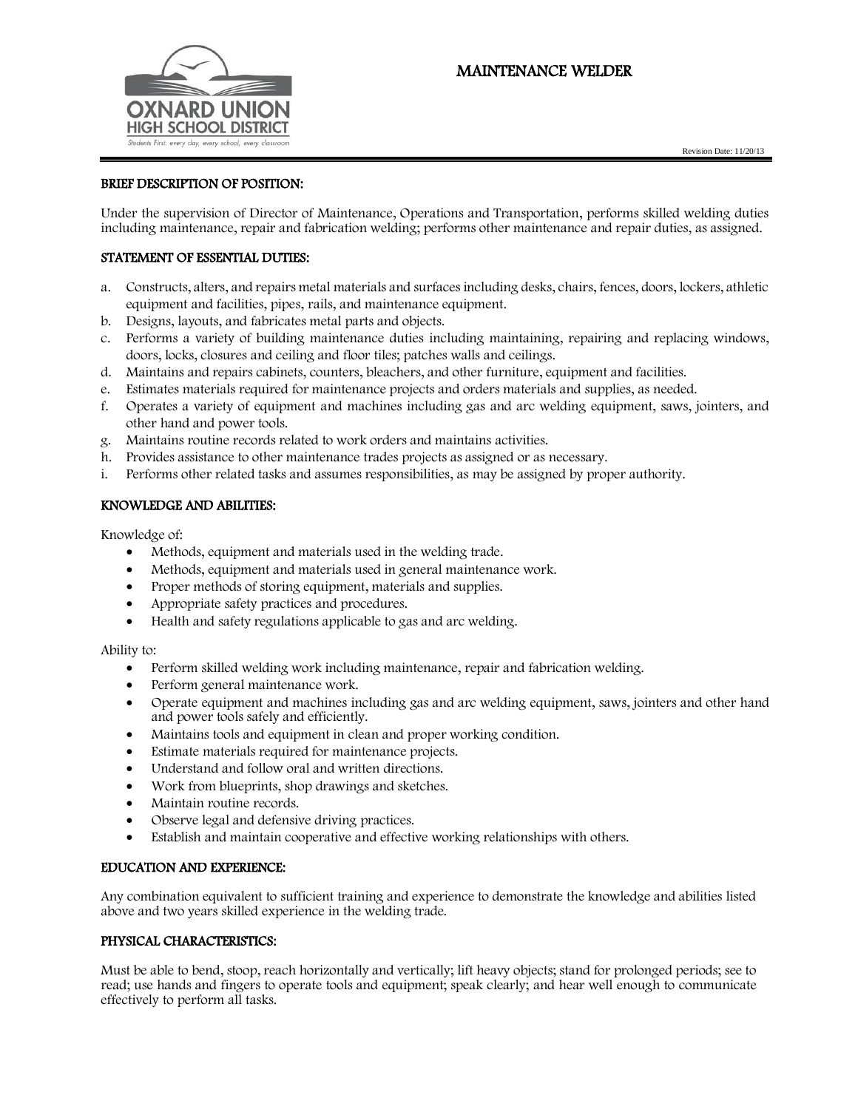# MAINTENANCE WELDER





## BRIEF DESCRIPTION OF POSITION:

Under the supervision of Director of Maintenance, Operations and Transportation, performs skilled welding duties including maintenance, repair and fabrication welding; performs other maintenance and repair duties, as assigned.

## STATEMENT OF ESSENTIAL DUTIES:

- a. Constructs, alters, and repairs metal materials and surfaces including desks, chairs, fences, doors, lockers, athletic equipment and facilities, pipes, rails, and maintenance equipment.
- b. Designs, layouts, and fabricates metal parts and objects.
- c. Performs a variety of building maintenance duties including maintaining, repairing and replacing windows, doors, locks, closures and ceiling and floor tiles; patches walls and ceilings.
- d. Maintains and repairs cabinets, counters, bleachers, and other furniture, equipment and facilities.
- e. Estimates materials required for maintenance projects and orders materials and supplies, as needed.
- f. Operates a variety of equipment and machines including gas and arc welding equipment, saws, jointers, and other hand and power tools.
- g. Maintains routine records related to work orders and maintains activities.
- h. Provides assistance to other maintenance trades projects as assigned or as necessary.
- i. Performs other related tasks and assumes responsibilities, as may be assigned by proper authority.

## KNOWLEDGE AND ABILITIES:

Knowledge of:

- Methods, equipment and materials used in the welding trade.
- Methods, equipment and materials used in general maintenance work.
- Proper methods of storing equipment, materials and supplies.
- Appropriate safety practices and procedures.
- Health and safety regulations applicable to gas and arc welding.

#### Ability to:

- Perform skilled welding work including maintenance, repair and fabrication welding.
- Perform general maintenance work.
- Operate equipment and machines including gas and arc welding equipment, saws, jointers and other hand and power tools safely and efficiently.
- Maintains tools and equipment in clean and proper working condition.
- Estimate materials required for maintenance projects.
- Understand and follow oral and written directions.
- Work from blueprints, shop drawings and sketches.
- Maintain routine records.
- Observe legal and defensive driving practices.
- Establish and maintain cooperative and effective working relationships with others.

### EDUCATION AND EXPERIENCE:

Any combination equivalent to sufficient training and experience to demonstrate the knowledge and abilities listed above and two years skilled experience in the welding trade.

## PHYSICAL CHARACTERISTICS:

Must be able to bend, stoop, reach horizontally and vertically; lift heavy objects; stand for prolonged periods; see to read; use hands and fingers to operate tools and equipment; speak clearly; and hear well enough to communicate effectively to perform all tasks.